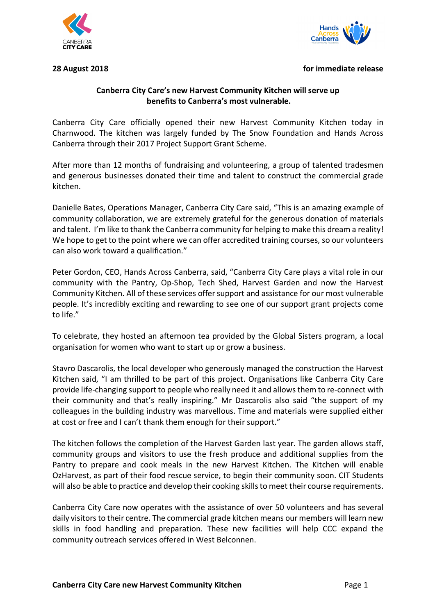



## **28 August 2018 for immediate release**

# **Canberra City Care's new Harvest Community Kitchen will serve up benefits to Canberra's most vulnerable.**

Canberra City Care officially opened their new Harvest Community Kitchen today in Charnwood. The kitchen was largely funded by The Snow Foundation and Hands Across Canberra through their 2017 Project Support Grant Scheme.

After more than 12 months of fundraising and volunteering, a group of talented tradesmen and generous businesses donated their time and talent to construct the commercial grade kitchen.

Danielle Bates, Operations Manager, Canberra City Care said, "This is an amazing example of community collaboration, we are extremely grateful for the generous donation of materials and talent. I'm like to thank the Canberra community for helping to make this dream a reality! We hope to get to the point where we can offer accredited training courses, so our volunteers can also work toward a qualification."

Peter Gordon, CEO, Hands Across Canberra, said, "Canberra City Care plays a vital role in our community with the Pantry, Op-Shop, Tech Shed, Harvest Garden and now the Harvest Community Kitchen. All of these services offer support and assistance for our most vulnerable people. It's incredibly exciting and rewarding to see one of our support grant projects come to life."

To celebrate, they hosted an afternoon tea provided by the Global Sisters program, a local organisation for women who want to start up or grow a business.

Stavro Dascarolis, the local developer who generously managed the construction the Harvest Kitchen said, "I am thrilled to be part of this project. Organisations like Canberra City Care provide life-changing support to people who really need it and allows them to re-connect with their community and that's really inspiring." Mr Dascarolis also said "the support of my colleagues in the building industry was marvellous. Time and materials were supplied either at cost or free and I can't thank them enough for their support."

The kitchen follows the completion of the Harvest Garden last year. The garden allows staff, community groups and visitors to use the fresh produce and additional supplies from the Pantry to prepare and cook meals in the new Harvest Kitchen. The Kitchen will enable OzHarvest, as part of their food rescue service, to begin their community soon. CIT Students will also be able to practice and develop their cooking skills to meet their course requirements.

Canberra City Care now operates with the assistance of over 50 volunteers and has several daily visitors to their centre. The commercial grade kitchen means our members will learn new skills in food handling and preparation. These new facilities will help CCC expand the community outreach services offered in West Belconnen.